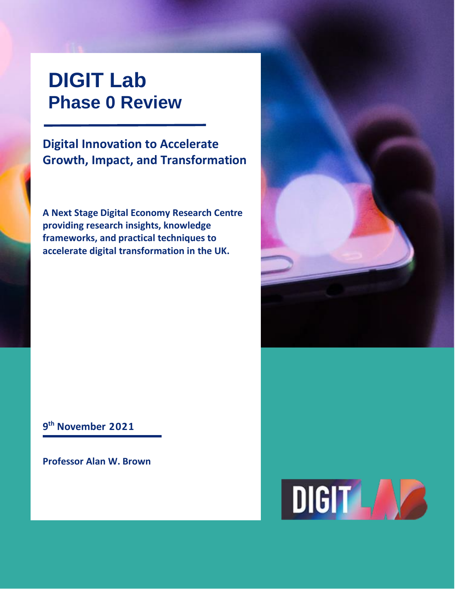# **DIGIT Lab Phase 0 Review**

**Digital Innovation to Accelerate Growth, Impact, and Transformation**

**A Next Stage Digital Economy Research Centre providing research insights, knowledge frameworks, and practical techniques to accelerate digital transformation in the UK.**



**9 th November 2021**

**Professor Alan W. Brown**

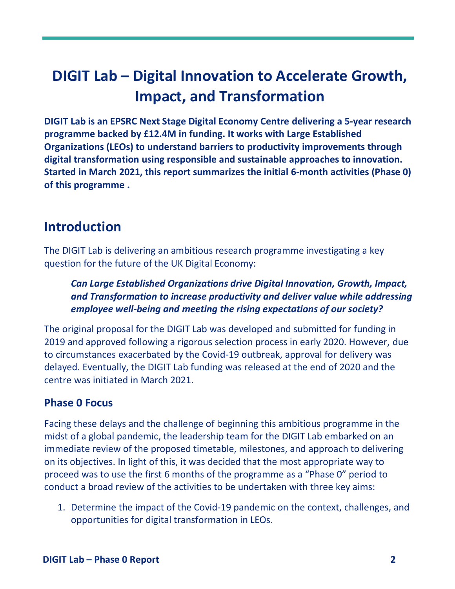# **DIGIT Lab – Digital Innovation to Accelerate Growth, Impact, and Transformation**

**DIGIT Lab is an EPSRC Next Stage Digital Economy Centre delivering a 5-year research programme backed by £12.4M in funding. It works with Large Established Organizations (LEOs) to understand barriers to productivity improvements through digital transformation using responsible and sustainable approaches to innovation. Started in March 2021, this report summarizes the initial 6-month activities (Phase 0) of this programme .**

### **Introduction**

The DIGIT Lab is delivering an ambitious research programme investigating a key question for the future of the UK Digital Economy:

*Can Large Established Organizations drive Digital Innovation, Growth, Impact, and Transformation to increase productivity and deliver value while addressing employee well-being and meeting the rising expectations of our society?* 

The original proposal for the DIGIT Lab was developed and submitted for funding in 2019 and approved following a rigorous selection process in early 2020. However, due to circumstances exacerbated by the Covid-19 outbreak, approval for delivery was delayed. Eventually, the DIGIT Lab funding was released at the end of 2020 and the centre was initiated in March 2021.

#### **Phase 0 Focus**

Facing these delays and the challenge of beginning this ambitious programme in the midst of a global pandemic, the leadership team for the DIGIT Lab embarked on an immediate review of the proposed timetable, milestones, and approach to delivering on its objectives. In light of this, it was decided that the most appropriate way to proceed was to use the first 6 months of the programme as a "Phase 0" period to conduct a broad review of the activities to be undertaken with three key aims:

1. Determine the impact of the Covid-19 pandemic on the context, challenges, and opportunities for digital transformation in LEOs.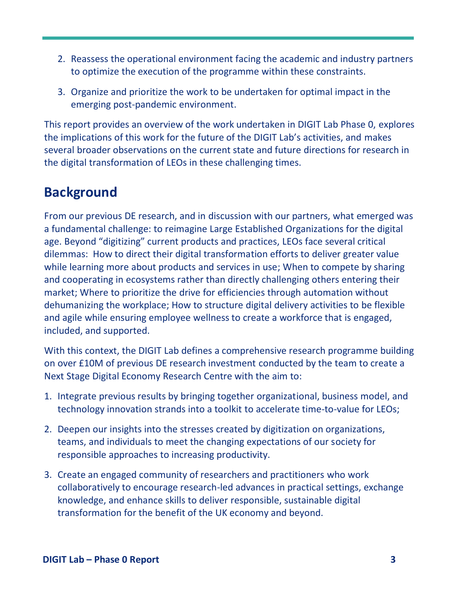- 2. Reassess the operational environment facing the academic and industry partners to optimize the execution of the programme within these constraints.
- 3. Organize and prioritize the work to be undertaken for optimal impact in the emerging post-pandemic environment.

This report provides an overview of the work undertaken in DIGIT Lab Phase 0, explores the implications of this work for the future of the DIGIT Lab's activities, and makes several broader observations on the current state and future directions for research in the digital transformation of LEOs in these challenging times.

### **Background**

From our previous DE research, and in discussion with our partners, what emerged was a fundamental challenge: to reimagine Large Established Organizations for the digital age. Beyond "digitizing" current products and practices, LEOs face several critical dilemmas: How to direct their digital transformation efforts to deliver greater value while learning more about products and services in use; When to compete by sharing and cooperating in ecosystems rather than directly challenging others entering their market; Where to prioritize the drive for efficiencies through automation without dehumanizing the workplace; How to structure digital delivery activities to be flexible and agile while ensuring employee wellness to create a workforce that is engaged, included, and supported.

With this context, the DIGIT Lab defines a comprehensive research programme building on over £10M of previous DE research investment conducted by the team to create a Next Stage Digital Economy Research Centre with the aim to:

- 1. Integrate previous results by bringing together organizational, business model, and technology innovation strands into a toolkit to accelerate time-to-value for LEOs;
- 2. Deepen our insights into the stresses created by digitization on organizations, teams, and individuals to meet the changing expectations of our society for responsible approaches to increasing productivity.
- 3. Create an engaged community of researchers and practitioners who work collaboratively to encourage research-led advances in practical settings, exchange knowledge, and enhance skills to deliver responsible, sustainable digital transformation for the benefit of the UK economy and beyond.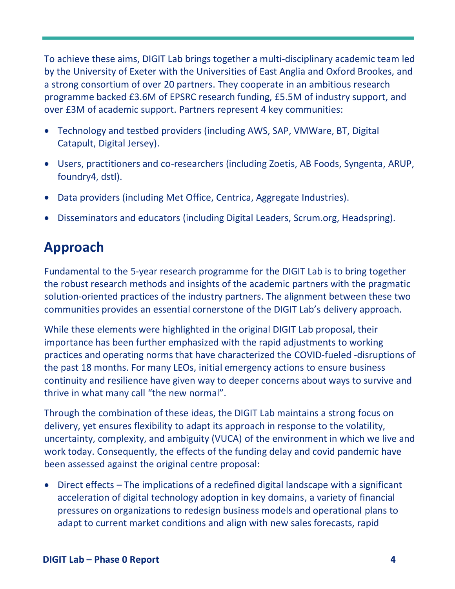To achieve these aims, DIGIT Lab brings together a multi-disciplinary academic team led by the University of Exeter with the Universities of East Anglia and Oxford Brookes, and a strong consortium of over 20 partners. They cooperate in an ambitious research programme backed £3.6M of EPSRC research funding, £5.5M of industry support, and over £3M of academic support. Partners represent 4 key communities:

- Technology and testbed providers (including AWS, SAP, VMWare, BT, Digital Catapult, Digital Jersey).
- Users, practitioners and co-researchers (including Zoetis, AB Foods, Syngenta, ARUP, foundry4, dstl).
- Data providers (including Met Office, Centrica, Aggregate Industries).
- Disseminators and educators (including Digital Leaders, Scrum.org, Headspring).

## **Approach**

Fundamental to the 5-year research programme for the DIGIT Lab is to bring together the robust research methods and insights of the academic partners with the pragmatic solution-oriented practices of the industry partners. The alignment between these two communities provides an essential cornerstone of the DIGIT Lab's delivery approach.

While these elements were highlighted in the original DIGIT Lab proposal, their importance has been further emphasized with the rapid adjustments to working practices and operating norms that have characterized the COVID-fueled -disruptions of the past 18 months. For many LEOs, initial emergency actions to ensure business continuity and resilience have given way to deeper concerns about ways to survive and thrive in what many call "the new normal".

Through the combination of these ideas, the DIGIT Lab maintains a strong focus on delivery, yet ensures flexibility to adapt its approach in response to the volatility, uncertainty, complexity, and ambiguity (VUCA) of the environment in which we live and work today. Consequently, the effects of the funding delay and covid pandemic have been assessed against the original centre proposal:

• Direct effects – The implications of a redefined digital landscape with a significant acceleration of digital technology adoption in key domains, a variety of financial pressures on organizations to redesign business models and operational plans to adapt to current market conditions and align with new sales forecasts, rapid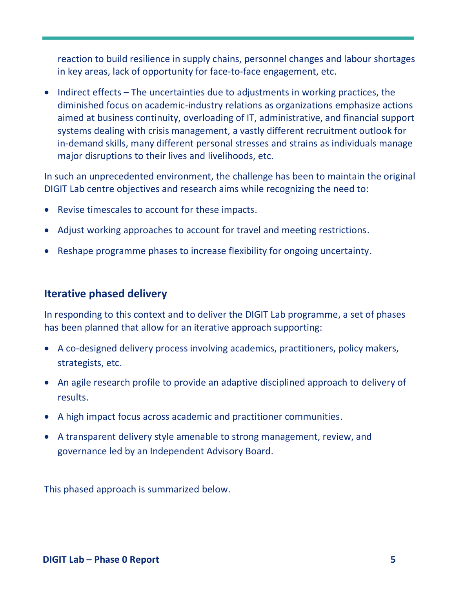reaction to build resilience in supply chains, personnel changes and labour shortages in key areas, lack of opportunity for face-to-face engagement, etc.

• Indirect effects – The uncertainties due to adjustments in working practices, the diminished focus on academic-industry relations as organizations emphasize actions aimed at business continuity, overloading of IT, administrative, and financial support systems dealing with crisis management, a vastly different recruitment outlook for in-demand skills, many different personal stresses and strains as individuals manage major disruptions to their lives and livelihoods, etc.

In such an unprecedented environment, the challenge has been to maintain the original DIGIT Lab centre objectives and research aims while recognizing the need to:

- Revise timescales to account for these impacts.
- Adjust working approaches to account for travel and meeting restrictions.
- Reshape programme phases to increase flexibility for ongoing uncertainty.

#### **Iterative phased delivery**

In responding to this context and to deliver the DIGIT Lab programme, a set of phases has been planned that allow for an iterative approach supporting:

- A co-designed delivery process involving academics, practitioners, policy makers, strategists, etc.
- An agile research profile to provide an adaptive disciplined approach to delivery of results.
- A high impact focus across academic and practitioner communities.
- A transparent delivery style amenable to strong management, review, and governance led by an Independent Advisory Board.

This phased approach is summarized below.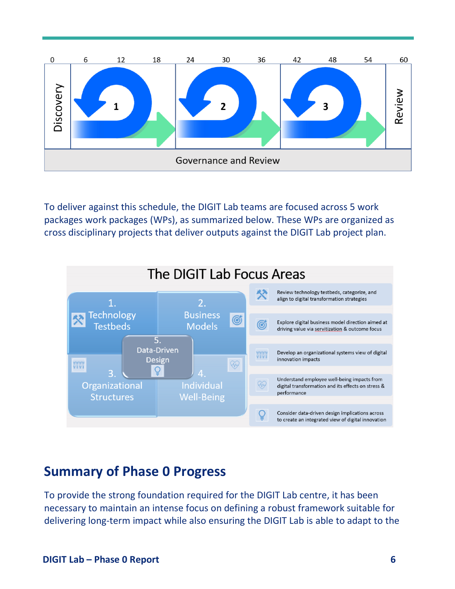

To deliver against this schedule, the DIGIT Lab teams are focused across 5 work packages work packages (WPs), as summarized below. These WPs are organized as cross disciplinary projects that deliver outputs against the DIGIT Lab project plan.



### **Summary of Phase 0 Progress**

To provide the strong foundation required for the DIGIT Lab centre, it has been necessary to maintain an intense focus on defining a robust framework suitable for delivering long-term impact while also ensuring the DIGIT Lab is able to adapt to the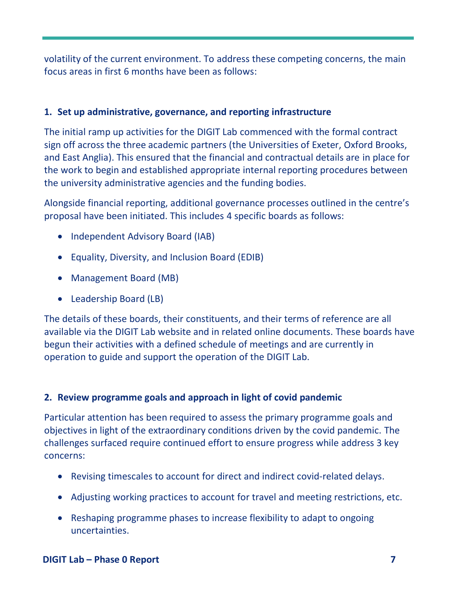volatility of the current environment. To address these competing concerns, the main focus areas in first 6 months have been as follows:

#### **1. Set up administrative, governance, and reporting infrastructure**

The initial ramp up activities for the DIGIT Lab commenced with the formal contract sign off across the three academic partners (the Universities of Exeter, Oxford Brooks, and East Anglia). This ensured that the financial and contractual details are in place for the work to begin and established appropriate internal reporting procedures between the university administrative agencies and the funding bodies.

Alongside financial reporting, additional governance processes outlined in the centre's proposal have been initiated. This includes 4 specific boards as follows:

- Independent Advisory Board (IAB)
- Equality, Diversity, and Inclusion Board (EDIB)
- Management Board (MB)
- Leadership Board (LB)

The details of these boards, their constituents, and their terms of reference are all available via the DIGIT Lab website and in related online documents. These boards have begun their activities with a defined schedule of meetings and are currently in operation to guide and support the operation of the DIGIT Lab.

#### **2. Review programme goals and approach in light of covid pandemic**

Particular attention has been required to assess the primary programme goals and objectives in light of the extraordinary conditions driven by the covid pandemic. The challenges surfaced require continued effort to ensure progress while address 3 key concerns:

- Revising timescales to account for direct and indirect covid-related delays.
- Adjusting working practices to account for travel and meeting restrictions, etc.
- Reshaping programme phases to increase flexibility to adapt to ongoing uncertainties.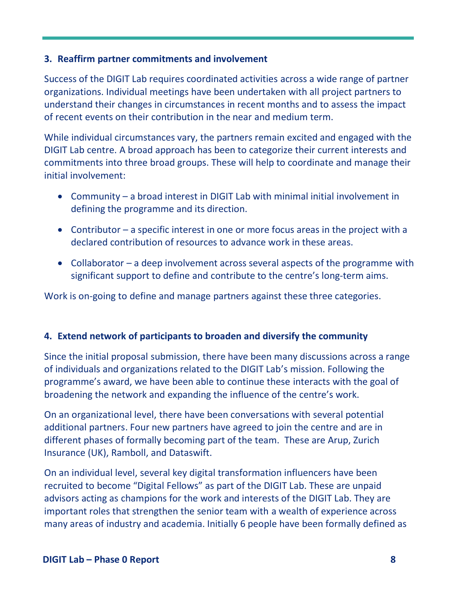#### **3. Reaffirm partner commitments and involvement**

Success of the DIGIT Lab requires coordinated activities across a wide range of partner organizations. Individual meetings have been undertaken with all project partners to understand their changes in circumstances in recent months and to assess the impact of recent events on their contribution in the near and medium term.

While individual circumstances vary, the partners remain excited and engaged with the DIGIT Lab centre. A broad approach has been to categorize their current interests and commitments into three broad groups. These will help to coordinate and manage their initial involvement:

- Community a broad interest in DIGIT Lab with minimal initial involvement in defining the programme and its direction.
- Contributor a specific interest in one or more focus areas in the project with a declared contribution of resources to advance work in these areas.
- Collaborator a deep involvement across several aspects of the programme with significant support to define and contribute to the centre's long-term aims.

Work is on-going to define and manage partners against these three categories.

#### **4. Extend network of participants to broaden and diversify the community**

Since the initial proposal submission, there have been many discussions across a range of individuals and organizations related to the DIGIT Lab's mission. Following the programme's award, we have been able to continue these interacts with the goal of broadening the network and expanding the influence of the centre's work.

On an organizational level, there have been conversations with several potential additional partners. Four new partners have agreed to join the centre and are in different phases of formally becoming part of the team. These are Arup, Zurich Insurance (UK), Ramboll, and Dataswift.

On an individual level, several key digital transformation influencers have been recruited to become "Digital Fellows" as part of the DIGIT Lab. These are unpaid advisors acting as champions for the work and interests of the DIGIT Lab. They are important roles that strengthen the senior team with a wealth of experience across many areas of industry and academia. Initially 6 people have been formally defined as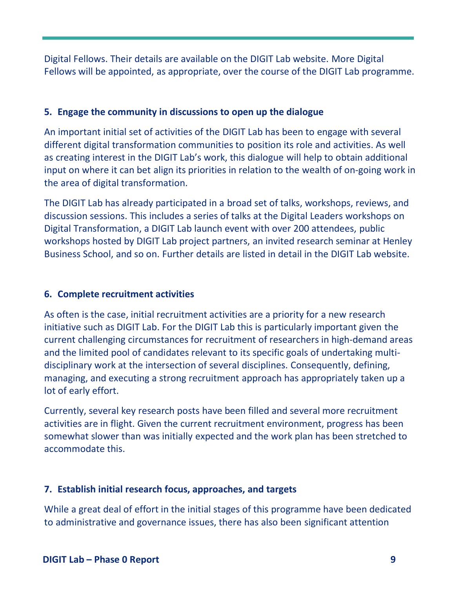Digital Fellows. Their details are available on the DIGIT Lab website. More Digital Fellows will be appointed, as appropriate, over the course of the DIGIT Lab programme.

#### **5. Engage the community in discussions to open up the dialogue**

An important initial set of activities of the DIGIT Lab has been to engage with several different digital transformation communities to position its role and activities. As well as creating interest in the DIGIT Lab's work, this dialogue will help to obtain additional input on where it can bet align its priorities in relation to the wealth of on-going work in the area of digital transformation.

The DIGIT Lab has already participated in a broad set of talks, workshops, reviews, and discussion sessions. This includes a series of talks at the Digital Leaders workshops on Digital Transformation, a DIGIT Lab launch event with over 200 attendees, public workshops hosted by DIGIT Lab project partners, an invited research seminar at Henley Business School, and so on. Further details are listed in detail in the DIGIT Lab website.

#### **6. Complete recruitment activities**

As often is the case, initial recruitment activities are a priority for a new research initiative such as DIGIT Lab. For the DIGIT Lab this is particularly important given the current challenging circumstances for recruitment of researchers in high-demand areas and the limited pool of candidates relevant to its specific goals of undertaking multidisciplinary work at the intersection of several disciplines. Consequently, defining, managing, and executing a strong recruitment approach has appropriately taken up a lot of early effort.

Currently, several key research posts have been filled and several more recruitment activities are in flight. Given the current recruitment environment, progress has been somewhat slower than was initially expected and the work plan has been stretched to accommodate this.

#### **7. Establish initial research focus, approaches, and targets**

While a great deal of effort in the initial stages of this programme have been dedicated to administrative and governance issues, there has also been significant attention